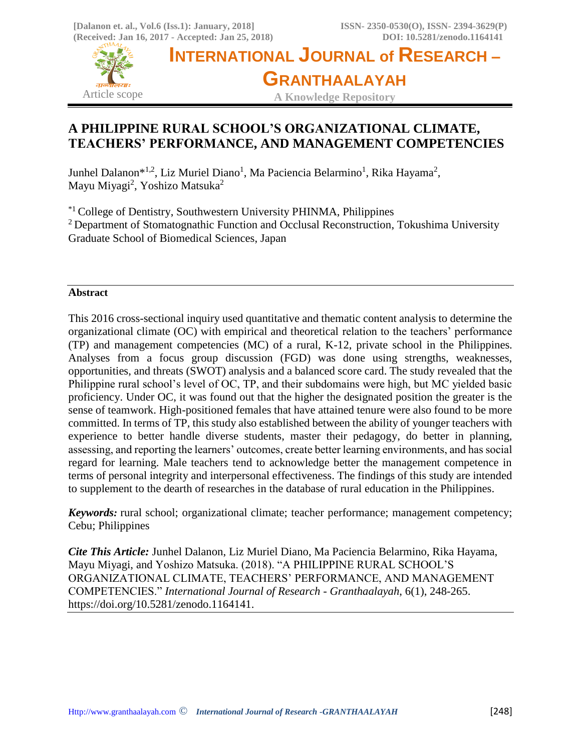

# **A PHILIPPINE RURAL SCHOOL'S ORGANIZATIONAL CLIMATE, TEACHERS' PERFORMANCE, AND MANAGEMENT COMPETENCIES**

Junhel Dalanon\*<sup>1,2</sup>, Liz Muriel Diano<sup>1</sup>, Ma Paciencia Belarmino<sup>1</sup>, Rika Hayama<sup>2</sup>, Mayu Miyagi<sup>2</sup>, Yoshizo Matsuka<sup>2</sup>

\*1 College of Dentistry, Southwestern University PHINMA, Philippines <sup>2</sup> Department of Stomatognathic Function and Occlusal Reconstruction, Tokushima University Graduate School of Biomedical Sciences, Japan

## **Abstract**

This 2016 cross-sectional inquiry used quantitative and thematic content analysis to determine the organizational climate (OC) with empirical and theoretical relation to the teachers' performance (TP) and management competencies (MC) of a rural, K-12, private school in the Philippines. Analyses from a focus group discussion (FGD) was done using strengths, weaknesses, opportunities, and threats (SWOT) analysis and a balanced score card. The study revealed that the Philippine rural school's level of OC, TP, and their subdomains were high, but MC yielded basic proficiency. Under OC, it was found out that the higher the designated position the greater is the sense of teamwork. High-positioned females that have attained tenure were also found to be more committed. In terms of TP, this study also established between the ability of younger teachers with experience to better handle diverse students, master their pedagogy, do better in planning, assessing, and reporting the learners' outcomes, create better learning environments, and has social regard for learning. Male teachers tend to acknowledge better the management competence in terms of personal integrity and interpersonal effectiveness. The findings of this study are intended to supplement to the dearth of researches in the database of rural education in the Philippines.

*Keywords:* rural school; organizational climate; teacher performance; management competency; Cebu; Philippines

*Cite This Article:* Junhel Dalanon, Liz Muriel Diano, Ma Paciencia Belarmino, Rika Hayama, Mayu Miyagi, and Yoshizo Matsuka. (2018). "A PHILIPPINE RURAL SCHOOL'S ORGANIZATIONAL CLIMATE, TEACHERS' PERFORMANCE, AND MANAGEMENT COMPETENCIES." *International Journal of Research - Granthaalayah*, 6(1), 248-265. https://doi.org/10.5281/zenodo.1164141.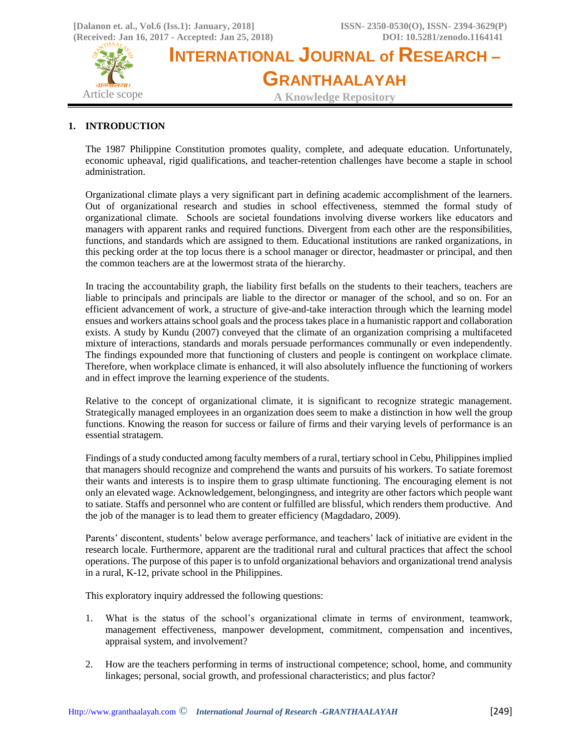

# **1. INTRODUCTION**

The 1987 Philippine Constitution promotes quality, complete, and adequate education. Unfortunately, economic upheaval, rigid qualifications, and teacher-retention challenges have become a staple in school administration.

Organizational climate plays a very significant part in defining academic accomplishment of the learners. Out of organizational research and studies in school effectiveness, stemmed the formal study of organizational climate. Schools are societal foundations involving diverse workers like educators and managers with apparent ranks and required functions. Divergent from each other are the responsibilities, functions, and standards which are assigned to them. Educational institutions are ranked organizations, in this pecking order at the top locus there is a school manager or director, headmaster or principal, and then the common teachers are at the lowermost strata of the hierarchy.

In tracing the accountability graph, the liability first befalls on the students to their teachers, teachers are liable to principals and principals are liable to the director or manager of the school, and so on. For an efficient advancement of work, a structure of give-and-take interaction through which the learning model ensues and workers attains school goals and the process takes place in a humanistic rapport and collaboration exists. A study by Kundu (2007) conveyed that the climate of an organization comprising a multifaceted mixture of interactions, standards and morals persuade performances communally or even independently. The findings expounded more that functioning of clusters and people is contingent on workplace climate. Therefore, when workplace climate is enhanced, it will also absolutely influence the functioning of workers and in effect improve the learning experience of the students.

Relative to the concept of organizational climate, it is significant to recognize strategic management. Strategically managed employees in an organization does seem to make a distinction in how well the group functions. Knowing the reason for success or failure of firms and their varying levels of performance is an essential stratagem.

Findings of a study conducted among faculty members of a rural, tertiary school in Cebu, Philippines implied that managers should recognize and comprehend the wants and pursuits of his workers. To satiate foremost their wants and interests is to inspire them to grasp ultimate functioning. The encouraging element is not only an elevated wage. Acknowledgement, belongingness, and integrity are other factors which people want to satiate. Staffs and personnel who are content or fulfilled are blissful, which renders them productive. And the job of the manager is to lead them to greater efficiency (Magdadaro, 2009).

Parents' discontent, students' below average performance, and teachers' lack of initiative are evident in the research locale. Furthermore, apparent are the traditional rural and cultural practices that affect the school operations. The purpose of this paper is to unfold organizational behaviors and organizational trend analysis in a rural, K-12, private school in the Philippines.

This exploratory inquiry addressed the following questions:

- 1. What is the status of the school's organizational climate in terms of environment, teamwork, management effectiveness, manpower development, commitment, compensation and incentives, appraisal system, and involvement?
- 2. How are the teachers performing in terms of instructional competence; school, home, and community linkages; personal, social growth, and professional characteristics; and plus factor?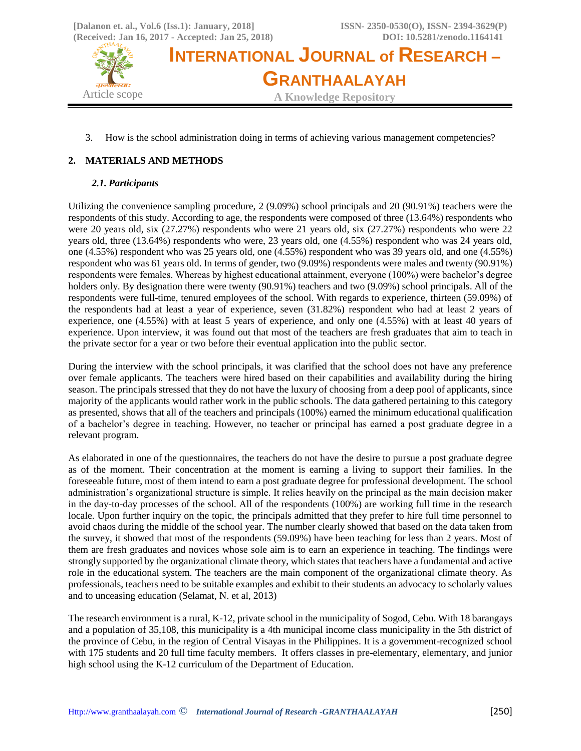

3. How is the school administration doing in terms of achieving various management competencies?

## **2. MATERIALS AND METHODS**

## *2.1. Participants*

Utilizing the convenience sampling procedure, 2 (9.09%) school principals and 20 (90.91%) teachers were the respondents of this study. According to age, the respondents were composed of three (13.64%) respondents who were 20 years old, six (27.27%) respondents who were 21 years old, six (27.27%) respondents who were 22 years old, three (13.64%) respondents who were, 23 years old, one (4.55%) respondent who was 24 years old, one (4.55%) respondent who was 25 years old, one (4.55%) respondent who was 39 years old, and one (4.55%) respondent who was 61 years old. In terms of gender, two (9.09%) respondents were males and twenty (90.91%) respondents were females. Whereas by highest educational attainment, everyone (100%) were bachelor's degree holders only. By designation there were twenty (90.91%) teachers and two (9.09%) school principals. All of the respondents were full-time, tenured employees of the school. With regards to experience, thirteen (59.09%) of the respondents had at least a year of experience, seven (31.82%) respondent who had at least 2 years of experience, one (4.55%) with at least 5 years of experience, and only one (4.55%) with at least 40 years of experience. Upon interview, it was found out that most of the teachers are fresh graduates that aim to teach in the private sector for a year or two before their eventual application into the public sector.

During the interview with the school principals, it was clarified that the school does not have any preference over female applicants. The teachers were hired based on their capabilities and availability during the hiring season. The principals stressed that they do not have the luxury of choosing from a deep pool of applicants, since majority of the applicants would rather work in the public schools. The data gathered pertaining to this category as presented, shows that all of the teachers and principals (100%) earned the minimum educational qualification of a bachelor's degree in teaching. However, no teacher or principal has earned a post graduate degree in a relevant program.

As elaborated in one of the questionnaires, the teachers do not have the desire to pursue a post graduate degree as of the moment. Their concentration at the moment is earning a living to support their families. In the foreseeable future, most of them intend to earn a post graduate degree for professional development. The school administration's organizational structure is simple. It relies heavily on the principal as the main decision maker in the day-to-day processes of the school. All of the respondents (100%) are working full time in the research locale. Upon further inquiry on the topic, the principals admitted that they prefer to hire full time personnel to avoid chaos during the middle of the school year. The number clearly showed that based on the data taken from the survey, it showed that most of the respondents (59.09%) have been teaching for less than 2 years. Most of them are fresh graduates and novices whose sole aim is to earn an experience in teaching. The findings were strongly supported by the organizational climate theory, which states that teachers have a fundamental and active role in the educational system. The teachers are the main component of the organizational climate theory. As professionals, teachers need to be suitable examples and exhibit to their students an advocacy to scholarly values and to unceasing education (Selamat, N. et al, 2013)

The research environment is a rural, K-12, private school in the municipality of Sogod, Cebu. With 18 barangays and a population of 35,108, this municipality is a 4th municipal income class municipality in the 5th district of the province of Cebu, in the region of Central Visayas in the Philippines. It is a government-recognized school with 175 students and 20 full time faculty members. It offers classes in pre-elementary, elementary, and junior high school using the K-12 curriculum of the Department of Education.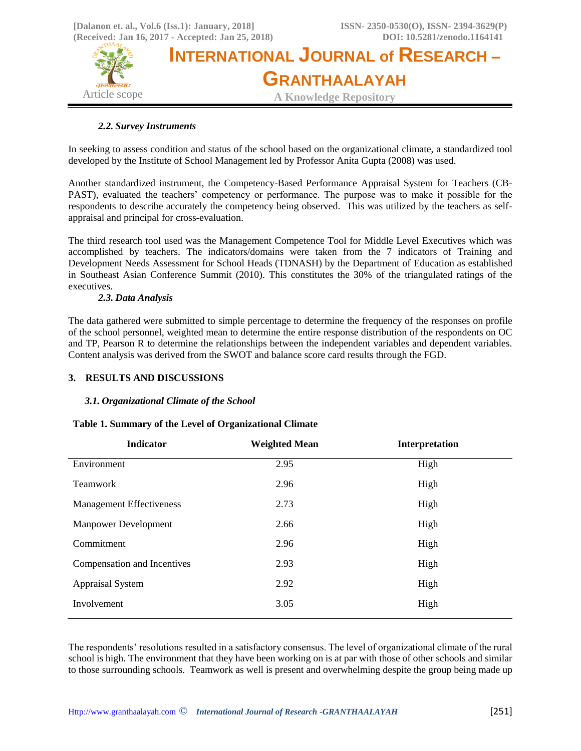

## *2.2. Survey Instruments*

In seeking to assess condition and status of the school based on the organizational climate, a standardized tool developed by the Institute of School Management led by Professor Anita Gupta (2008) was used.

Another standardized instrument, the Competency-Based Performance Appraisal System for Teachers (CB-PAST), evaluated the teachers' competency or performance. The purpose was to make it possible for the respondents to describe accurately the competency being observed. This was utilized by the teachers as selfappraisal and principal for cross-evaluation.

The third research tool used was the Management Competence Tool for Middle Level Executives which was accomplished by teachers. The indicators/domains were taken from the 7 indicators of Training and Development Needs Assessment for School Heads (TDNASH) by the Department of Education as established in Southeast Asian Conference Summit (2010). This constitutes the 30% of the triangulated ratings of the executives.

## *2.3. Data Analysis*

The data gathered were submitted to simple percentage to determine the frequency of the responses on profile of the school personnel, weighted mean to determine the entire response distribution of the respondents on OC and TP, Pearson R to determine the relationships between the independent variables and dependent variables. Content analysis was derived from the SWOT and balance score card results through the FGD.

## **3. RESULTS AND DISCUSSIONS**

### *3.1. Organizational Climate of the School*

### **Table 1. Summary of the Level of Organizational Climate**

| <b>Indicator</b>                | <b>Weighted Mean</b> | Interpretation |
|---------------------------------|----------------------|----------------|
| Environment                     | 2.95                 | High           |
| <b>Teamwork</b>                 | 2.96                 | High           |
| <b>Management Effectiveness</b> | 2.73                 | High           |
| <b>Manpower Development</b>     | 2.66                 | High           |
| Commitment                      | 2.96                 | High           |
| Compensation and Incentives     | 2.93                 | High           |
| <b>Appraisal System</b>         | 2.92                 | High           |
| Involvement                     | 3.05                 | High           |

The respondents' resolutions resulted in a satisfactory consensus. The level of organizational climate of the rural school is high. The environment that they have been working on is at par with those of other schools and similar to those surrounding schools. Teamwork as well is present and overwhelming despite the group being made up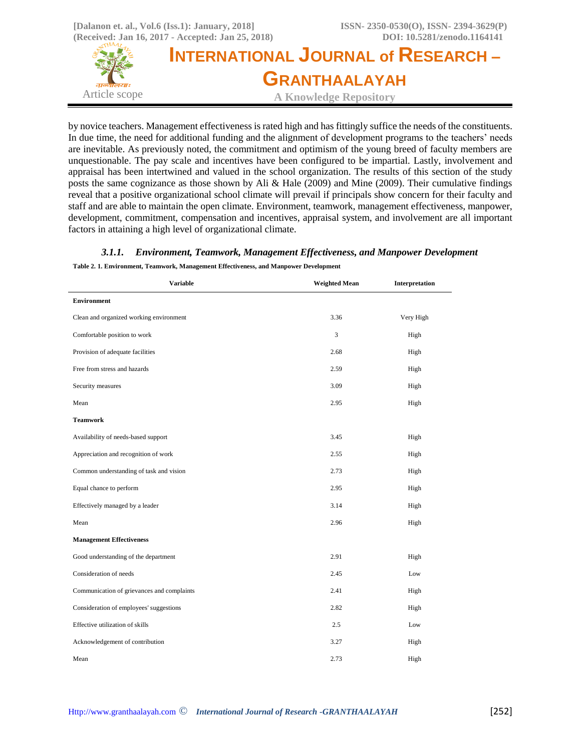

by novice teachers. Management effectiveness is rated high and has fittingly suffice the needs of the constituents. In due time, the need for additional funding and the alignment of development programs to the teachers' needs are inevitable. As previously noted, the commitment and optimism of the young breed of faculty members are unquestionable. The pay scale and incentives have been configured to be impartial. Lastly, involvement and appraisal has been intertwined and valued in the school organization. The results of this section of the study posts the same cognizance as those shown by Ali & Hale (2009) and Mine (2009). Their cumulative findings reveal that a positive organizational school climate will prevail if principals show concern for their faculty and staff and are able to maintain the open climate. Environment, teamwork, management effectiveness, manpower, development, commitment, compensation and incentives, appraisal system, and involvement are all important factors in attaining a high level of organizational climate.

## *3.1.1. Environment, Teamwork, Management Effectiveness, and Manpower Development*  **Table 2. 1. Environment, Teamwork, Management Effectiveness, and Manpower Development**

| <b>Variable</b>                            | <b>Weighted Mean</b> | Interpretation |
|--------------------------------------------|----------------------|----------------|
| <b>Environment</b>                         |                      |                |
| Clean and organized working environment    | 3.36                 | Very High      |
| Comfortable position to work               | 3                    | High           |
| Provision of adequate facilities           | 2.68                 | High           |
| Free from stress and hazards               | 2.59                 | High           |
| Security measures                          | 3.09                 | High           |
| Mean                                       | 2.95                 | High           |
| <b>Teamwork</b>                            |                      |                |
| Availability of needs-based support        | 3.45                 | High           |
| Appreciation and recognition of work       | 2.55                 | High           |
| Common understanding of task and vision    | 2.73                 | High           |
| Equal chance to perform                    | 2.95                 | High           |
| Effectively managed by a leader            | 3.14                 | High           |
| Mean                                       | 2.96                 | High           |
| <b>Management Effectiveness</b>            |                      |                |
| Good understanding of the department       | 2.91                 | High           |
| Consideration of needs                     | 2.45                 | Low            |
| Communication of grievances and complaints | 2.41                 | High           |
| Consideration of employees' suggestions    | 2.82                 | High           |
| Effective utilization of skills            | 2.5                  | Low            |
| Acknowledgement of contribution            | 3.27                 | High           |
| Mean                                       | 2.73                 | High           |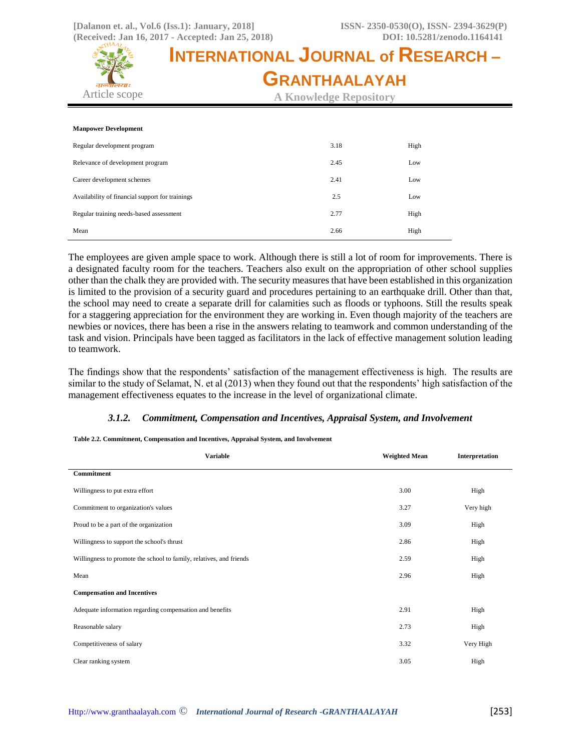

| <b>Manpower Development</b>                     |      |      |
|-------------------------------------------------|------|------|
| Regular development program                     | 3.18 | High |
| Relevance of development program                | 2.45 | Low  |
| Career development schemes                      | 2.41 | Low  |
| Availability of financial support for trainings | 2.5  | Low  |
| Regular training needs-based assessment         | 2.77 | High |
| Mean                                            | 2.66 | High |

The employees are given ample space to work. Although there is still a lot of room for improvements. There is a designated faculty room for the teachers. Teachers also exult on the appropriation of other school supplies other than the chalk they are provided with. The security measures that have been established in this organization is limited to the provision of a security guard and procedures pertaining to an earthquake drill. Other than that, the school may need to create a separate drill for calamities such as floods or typhoons. Still the results speak for a staggering appreciation for the environment they are working in. Even though majority of the teachers are newbies or novices, there has been a rise in the answers relating to teamwork and common understanding of the task and vision. Principals have been tagged as facilitators in the lack of effective management solution leading to teamwork.

The findings show that the respondents' satisfaction of the management effectiveness is high. The results are similar to the study of Selamat, N. et al (2013) when they found out that the respondents' high satisfaction of the management effectiveness equates to the increase in the level of organizational climate.

### *3.1.2. Commitment, Compensation and Incentives, Appraisal System, and Involvement*

#### **Table 2.2. Commitment, Compensation and Incentives, Appraisal System, and Involvement**

| <b>Variable</b>                                                     | <b>Weighted Mean</b> | Interpretation |
|---------------------------------------------------------------------|----------------------|----------------|
| <b>Commitment</b>                                                   |                      |                |
| Willingness to put extra effort                                     | 3.00                 | High           |
| Commitment to organization's values                                 | 3.27                 | Very high      |
| Proud to be a part of the organization                              | 3.09                 | High           |
| Willingness to support the school's thrust                          | 2.86                 | High           |
| Willingness to promote the school to family, relatives, and friends | 2.59                 | High           |
| Mean                                                                | 2.96                 | High           |
| <b>Compensation and Incentives</b>                                  |                      |                |
| Adequate information regarding compensation and benefits            | 2.91                 | High           |
| Reasonable salary                                                   | 2.73                 | High           |
| Competitiveness of salary                                           | 3.32                 | Very High      |
| Clear ranking system                                                | 3.05                 | High           |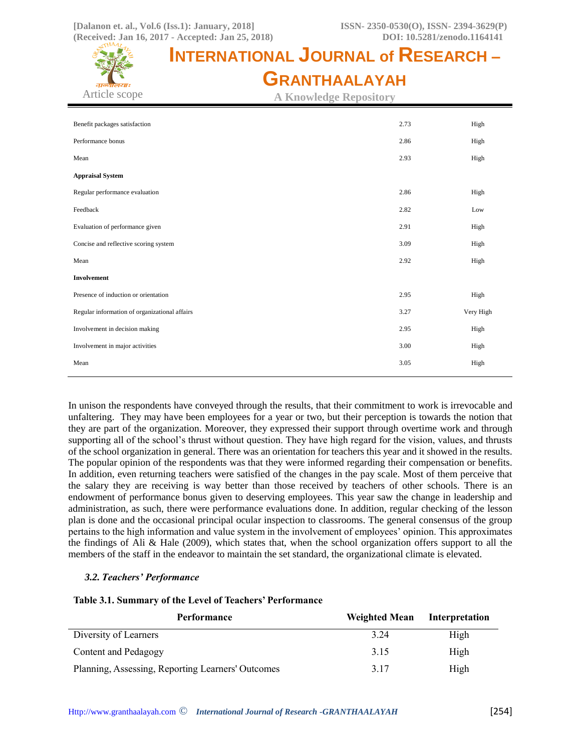

**A Knowledge Repository**

| Benefit packages satisfaction                 | 2.73 | High      |
|-----------------------------------------------|------|-----------|
| Performance bonus                             | 2.86 | High      |
| Mean                                          | 2.93 | High      |
| <b>Appraisal System</b>                       |      |           |
| Regular performance evaluation                | 2.86 | High      |
| Feedback                                      | 2.82 | Low       |
| Evaluation of performance given               | 2.91 | High      |
| Concise and reflective scoring system         | 3.09 | High      |
| Mean                                          | 2.92 | High      |
| <b>Involvement</b>                            |      |           |
| Presence of induction or orientation          | 2.95 | High      |
| Regular information of organizational affairs | 3.27 | Very High |
| Involvement in decision making                | 2.95 | High      |
| Involvement in major activities               | 3.00 | High      |
| Mean                                          | 3.05 | High      |
|                                               |      |           |

In unison the respondents have conveyed through the results, that their commitment to work is irrevocable and unfaltering. They may have been employees for a year or two, but their perception is towards the notion that they are part of the organization. Moreover, they expressed their support through overtime work and through supporting all of the school's thrust without question. They have high regard for the vision, values, and thrusts of the school organization in general. There was an orientation for teachers this year and it showed in the results. The popular opinion of the respondents was that they were informed regarding their compensation or benefits. In addition, even returning teachers were satisfied of the changes in the pay scale. Most of them perceive that the salary they are receiving is way better than those received by teachers of other schools. There is an endowment of performance bonus given to deserving employees. This year saw the change in leadership and administration, as such, there were performance evaluations done. In addition, regular checking of the lesson plan is done and the occasional principal ocular inspection to classrooms. The general consensus of the group pertains to the high information and value system in the involvement of employees' opinion. This approximates the findings of Ali & Hale (2009), which states that, when the school organization offers support to all the members of the staff in the endeavor to maintain the set standard, the organizational climate is elevated.

### *3.2. Teachers' Performance*

### **Table 3.1. Summary of the Level of Teachers' Performance**

| Performance                                       | <b>Weighted Mean</b> | Interpretation |
|---------------------------------------------------|----------------------|----------------|
| Diversity of Learners                             | 3.24                 | High           |
| Content and Pedagogy                              | 3.15                 | High           |
| Planning, Assessing, Reporting Learners' Outcomes | 3.17                 | High           |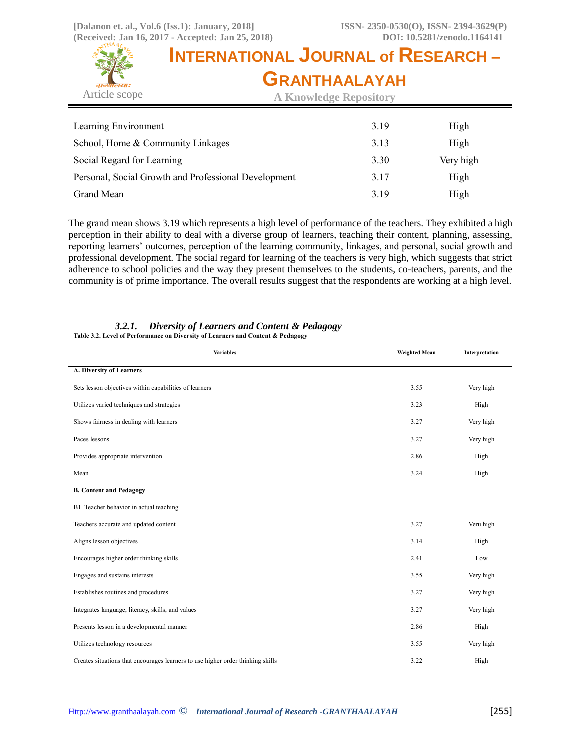

**A Knowledge Repository**

| Learning Environment                                 | 3.19 | High      |
|------------------------------------------------------|------|-----------|
| School, Home & Community Linkages                    | 3.13 | High      |
| Social Regard for Learning                           | 3.30 | Very high |
| Personal, Social Growth and Professional Development | 3.17 | High      |
| Grand Mean                                           | 3.19 | High      |

The grand mean shows 3.19 which represents a high level of performance of the teachers. They exhibited a high perception in their ability to deal with a diverse group of learners, teaching their content, planning, assessing, reporting learners' outcomes, perception of the learning community, linkages, and personal, social growth and professional development. The social regard for learning of the teachers is very high, which suggests that strict adherence to school policies and the way they present themselves to the students, co-teachers, parents, and the community is of prime importance. The overall results suggest that the respondents are working at a high level.

| <b>Variables</b>                                                                | <b>Weighted Mean</b> | Interpretation |
|---------------------------------------------------------------------------------|----------------------|----------------|
| A. Diversity of Learners                                                        |                      |                |
| Sets lesson objectives within capabilities of learners                          | 3.55                 | Very high      |
| Utilizes varied techniques and strategies                                       | 3.23                 | High           |
| Shows fairness in dealing with learners                                         | 3.27                 | Very high      |
| Paces lessons                                                                   | 3.27                 | Very high      |
| Provides appropriate intervention                                               | 2.86                 | High           |
| Mean                                                                            | 3.24                 | High           |
| <b>B. Content and Pedagogy</b>                                                  |                      |                |
| B1. Teacher behavior in actual teaching                                         |                      |                |
| Teachers accurate and updated content                                           | 3.27                 | Veru high      |
| Aligns lesson objectives                                                        | 3.14                 | High           |
| Encourages higher order thinking skills                                         | 2.41                 | Low            |
| Engages and sustains interests                                                  | 3.55                 | Very high      |
| Establishes routines and procedures                                             | 3.27                 | Very high      |
| Integrates language, literacy, skills, and values                               | 3.27                 | Very high      |
| Presents lesson in a developmental manner                                       | 2.86                 | High           |
| Utilizes technology resources                                                   | 3.55                 | Very high      |
| Creates situations that encourages learners to use higher order thinking skills | 3.22                 | High           |

# *3.2.1. Diversity of Learners and Content & Pedagogy*

**Table 3.2. Level of Performance on Diversity of Learners and Content & Pedagogy**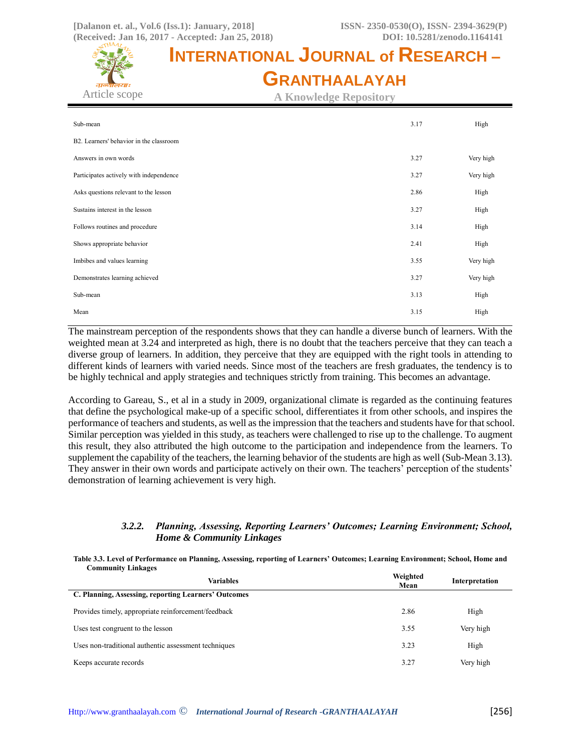

| Sub-mean                                | 3.17 | High      |
|-----------------------------------------|------|-----------|
| B2. Learners' behavior in the classroom |      |           |
| Answers in own words                    | 3.27 | Very high |
| Participates actively with independence | 3.27 | Very high |
| Asks questions relevant to the lesson   | 2.86 | High      |
| Sustains interest in the lesson         | 3.27 | High      |
| Follows routines and procedure          | 3.14 | High      |
| Shows appropriate behavior              | 2.41 | High      |
| Imbibes and values learning             | 3.55 | Very high |
| Demonstrates learning achieved          | 3.27 | Very high |
| Sub-mean                                | 3.13 | High      |
| Mean                                    | 3.15 | High      |

The mainstream perception of the respondents shows that they can handle a diverse bunch of learners. With the weighted mean at 3.24 and interpreted as high, there is no doubt that the teachers perceive that they can teach a diverse group of learners. In addition, they perceive that they are equipped with the right tools in attending to different kinds of learners with varied needs. Since most of the teachers are fresh graduates, the tendency is to be highly technical and apply strategies and techniques strictly from training. This becomes an advantage.

According to Gareau, S., et al in a study in 2009, organizational climate is regarded as the continuing features that define the psychological make-up of a specific school, differentiates it from other schools, and inspires the performance of teachers and students, as well as the impression that the teachers and students have for that school. Similar perception was yielded in this study, as teachers were challenged to rise up to the challenge. To augment this result, they also attributed the high outcome to the participation and independence from the learners. To supplement the capability of the teachers, the learning behavior of the students are high as well (Sub-Mean 3.13). They answer in their own words and participate actively on their own. The teachers' perception of the students' demonstration of learning achievement is very high.

## *3.2.2. Planning, Assessing, Reporting Learners' Outcomes; Learning Environment; School, Home & Community Linkages*

| Table 3.3. Level of Performance on Planning, Assessing, reporting of Learners' Outcomes; Learning Environment; School, Home and |  |  |
|---------------------------------------------------------------------------------------------------------------------------------|--|--|
| <b>Community Linkages</b>                                                                                                       |  |  |

| Variables                                            | Weighted<br>Mean | Interpretation |
|------------------------------------------------------|------------------|----------------|
| C. Planning, Assessing, reporting Learners' Outcomes |                  |                |
| Provides timely, appropriate reinforcement/feedback  | 2.86             | High           |
| Uses test congruent to the lesson                    | 3.55             | Very high      |
| Uses non-traditional authentic assessment techniques | 3.23             | High           |
| Keeps accurate records                               | 3.27             | Very high      |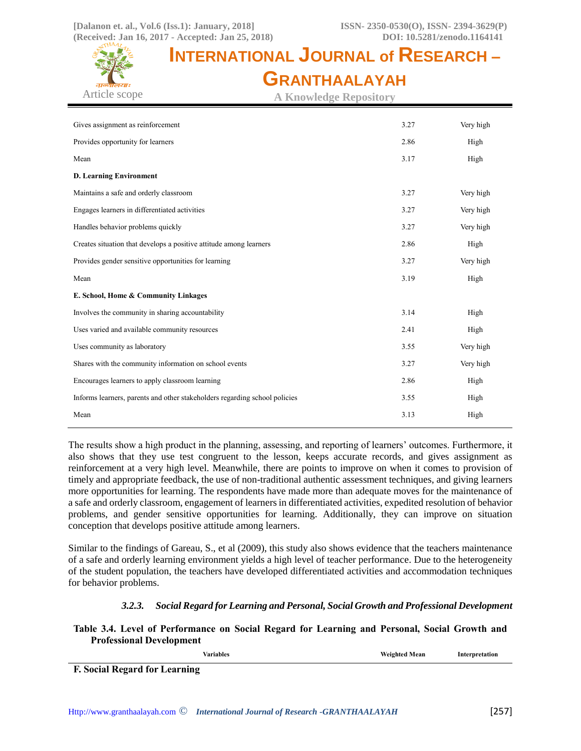

**A Knowledge Repository**

| Gives assignment as reinforcement                                          | 3.27 | Very high |
|----------------------------------------------------------------------------|------|-----------|
| Provides opportunity for learners                                          | 2.86 | High      |
| Mean                                                                       | 3.17 | High      |
| <b>D. Learning Environment</b>                                             |      |           |
| Maintains a safe and orderly classroom                                     | 3.27 | Very high |
| Engages learners in differentiated activities                              | 3.27 | Very high |
| Handles behavior problems quickly                                          | 3.27 | Very high |
| Creates situation that develops a positive attitude among learners         | 2.86 | High      |
| Provides gender sensitive opportunities for learning                       | 3.27 | Very high |
| Mean                                                                       | 3.19 | High      |
| E. School, Home & Community Linkages                                       |      |           |
| Involves the community in sharing accountability                           | 3.14 | High      |
| Uses varied and available community resources                              | 2.41 | High      |
| Uses community as laboratory                                               | 3.55 | Very high |
| Shares with the community information on school events                     | 3.27 | Very high |
| Encourages learners to apply classroom learning                            | 2.86 | High      |
| Informs learners, parents and other stakeholders regarding school policies | 3.55 | High      |
| Mean                                                                       | 3.13 | High      |
|                                                                            |      |           |

The results show a high product in the planning, assessing, and reporting of learners' outcomes. Furthermore, it also shows that they use test congruent to the lesson, keeps accurate records, and gives assignment as reinforcement at a very high level. Meanwhile, there are points to improve on when it comes to provision of timely and appropriate feedback, the use of non-traditional authentic assessment techniques, and giving learners more opportunities for learning. The respondents have made more than adequate moves for the maintenance of a safe and orderly classroom, engagement of learners in differentiated activities, expedited resolution of behavior problems, and gender sensitive opportunities for learning. Additionally, they can improve on situation conception that develops positive attitude among learners.

Similar to the findings of Gareau, S., et al (2009), this study also shows evidence that the teachers maintenance of a safe and orderly learning environment yields a high level of teacher performance. Due to the heterogeneity of the student population, the teachers have developed differentiated activities and accommodation techniques for behavior problems.

# *3.2.3. Social Regard for Learning and Personal, Social Growth and Professional Development*

**Table 3.4. Level of Performance on Social Regard for Learning and Personal, Social Growth and Professional Development**

**F. Social Regard for Learning**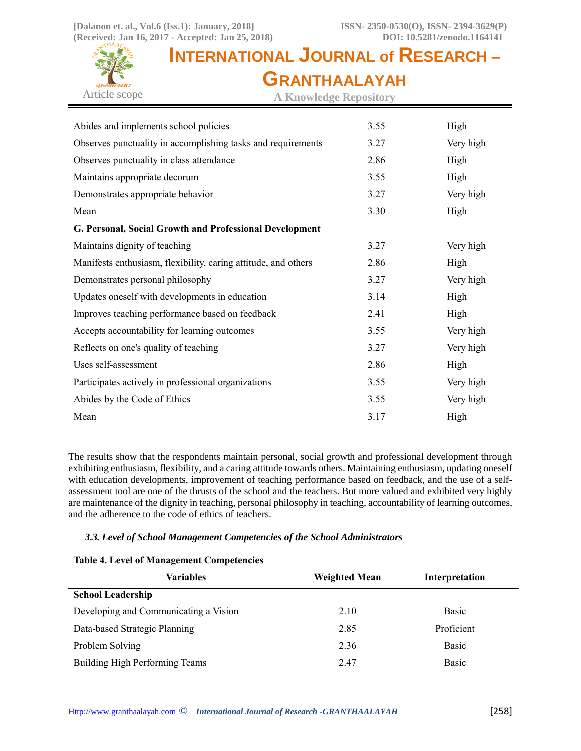

**A Knowledge Repository**

| Abides and implements school policies                          | 3.55 | High      |
|----------------------------------------------------------------|------|-----------|
| Observes punctuality in accomplishing tasks and requirements   | 3.27 | Very high |
| Observes punctuality in class attendance                       | 2.86 | High      |
| Maintains appropriate decorum                                  | 3.55 | High      |
| Demonstrates appropriate behavior                              | 3.27 | Very high |
| Mean                                                           | 3.30 | High      |
| G. Personal, Social Growth and Professional Development        |      |           |
| Maintains dignity of teaching                                  | 3.27 | Very high |
| Manifests enthusiasm, flexibility, caring attitude, and others | 2.86 | High      |
| Demonstrates personal philosophy                               | 3.27 | Very high |
| Updates oneself with developments in education                 | 3.14 | High      |
| Improves teaching performance based on feedback                | 2.41 | High      |
| Accepts accountability for learning outcomes                   | 3.55 | Very high |
| Reflects on one's quality of teaching                          | 3.27 | Very high |
| Uses self-assessment                                           | 2.86 | High      |
| Participates actively in professional organizations            | 3.55 | Very high |
| Abides by the Code of Ethics                                   | 3.55 | Very high |
| Mean                                                           | 3.17 | High      |

The results show that the respondents maintain personal, social growth and professional development through exhibiting enthusiasm, flexibility, and a caring attitude towards others. Maintaining enthusiasm, updating oneself with education developments, improvement of teaching performance based on feedback, and the use of a selfassessment tool are one of the thrusts of the school and the teachers. But more valued and exhibited very highly are maintenance of the dignity in teaching, personal philosophy in teaching, accountability of learning outcomes, and the adherence to the code of ethics of teachers.

## *3.3. Level of School Management Competencies of the School Administrators*

## **Table 4. Level of Management Competencies**

| Variables                             | <b>Weighted Mean</b> | Interpretation |
|---------------------------------------|----------------------|----------------|
| <b>School Leadership</b>              |                      |                |
| Developing and Communicating a Vision | 2.10                 | <b>Basic</b>   |
| Data-based Strategic Planning         | 2.85                 | Proficient     |
| Problem Solving                       | 2.36                 | Basic          |
| Building High Performing Teams        | 2.47                 | <b>Basic</b>   |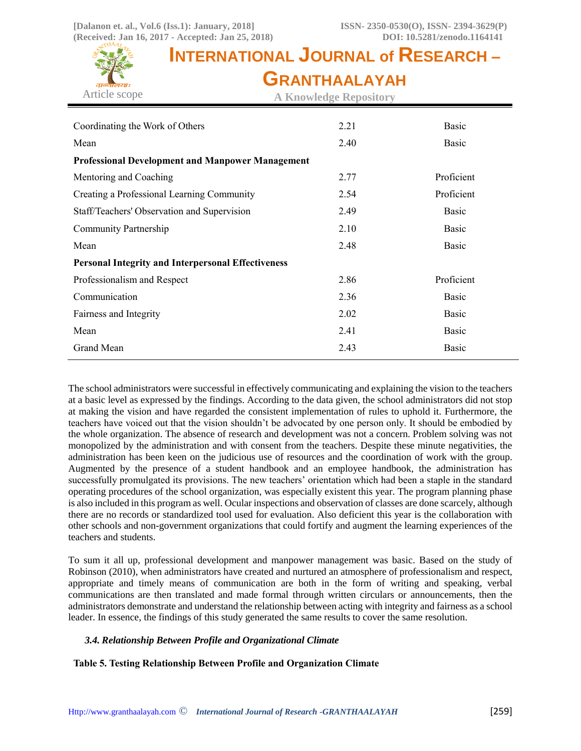

**A Knowledge Repository**

| Coordinating the Work of Others                           | 2.21 | Basic      |  |  |  |
|-----------------------------------------------------------|------|------------|--|--|--|
| Mean                                                      | 2.40 | Basic      |  |  |  |
| <b>Professional Development and Manpower Management</b>   |      |            |  |  |  |
| Mentoring and Coaching                                    | 2.77 | Proficient |  |  |  |
| Creating a Professional Learning Community                | 2.54 | Proficient |  |  |  |
| Staff/Teachers' Observation and Supervision               | 2.49 | Basic      |  |  |  |
| Community Partnership                                     | 2.10 | Basic      |  |  |  |
| Mean                                                      | 2.48 | Basic      |  |  |  |
| <b>Personal Integrity and Interpersonal Effectiveness</b> |      |            |  |  |  |
| Professionalism and Respect                               | 2.86 | Proficient |  |  |  |
| Communication                                             | 2.36 | Basic      |  |  |  |
| Fairness and Integrity                                    | 2.02 | Basic      |  |  |  |
| Mean                                                      | 2.41 | Basic      |  |  |  |
| Grand Mean                                                | 2.43 | Basic      |  |  |  |

The school administrators were successful in effectively communicating and explaining the vision to the teachers at a basic level as expressed by the findings. According to the data given, the school administrators did not stop at making the vision and have regarded the consistent implementation of rules to uphold it. Furthermore, the teachers have voiced out that the vision shouldn't be advocated by one person only. It should be embodied by the whole organization. The absence of research and development was not a concern. Problem solving was not monopolized by the administration and with consent from the teachers. Despite these minute negativities, the administration has been keen on the judicious use of resources and the coordination of work with the group. Augmented by the presence of a student handbook and an employee handbook, the administration has successfully promulgated its provisions. The new teachers' orientation which had been a staple in the standard operating procedures of the school organization, was especially existent this year. The program planning phase is also included in this program as well. Ocular inspections and observation of classes are done scarcely, although there are no records or standardized tool used for evaluation. Also deficient this year is the collaboration with other schools and non-government organizations that could fortify and augment the learning experiences of the teachers and students.

To sum it all up, professional development and manpower management was basic. Based on the study of Robinson (2010), when administrators have created and nurtured an atmosphere of professionalism and respect, appropriate and timely means of communication are both in the form of writing and speaking, verbal communications are then translated and made formal through written circulars or announcements, then the administrators demonstrate and understand the relationship between acting with integrity and fairness as a school leader. In essence, the findings of this study generated the same results to cover the same resolution.

## *3.4. Relationship Between Profile and Organizational Climate*

## **Table 5. Testing Relationship Between Profile and Organization Climate**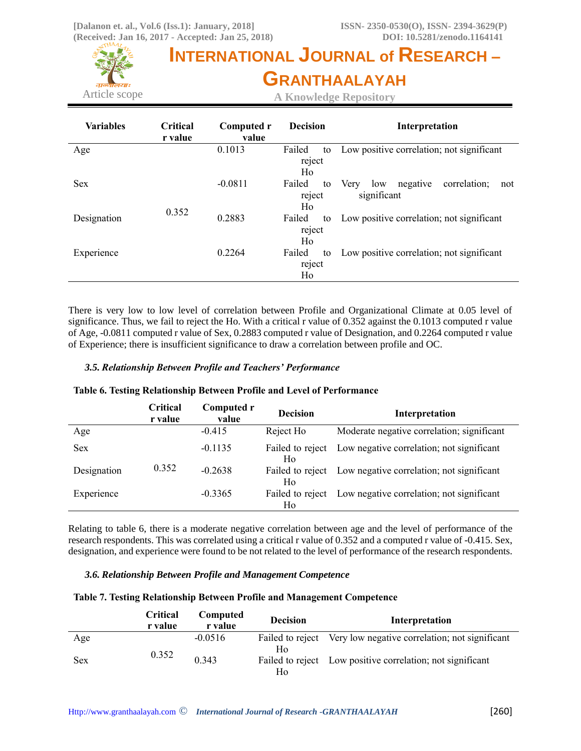

**A Knowledge Repository**

| <b>Variables</b> | <b>Critical</b><br>r value | Computed r<br>value | <b>Decision</b>              | Interpretation                                                |
|------------------|----------------------------|---------------------|------------------------------|---------------------------------------------------------------|
| Age              |                            | 0.1013              | Failed<br>to<br>reject<br>Ho | Low positive correlation; not significant                     |
| <b>Sex</b>       |                            | $-0.0811$           | Failed<br>to<br>reject<br>Ho | correlation;<br>negative<br>low<br>Very<br>not<br>significant |
| Designation      | 0.352                      | 0.2883              | Failed<br>to<br>reject<br>Ho | Low positive correlation; not significant                     |
| Experience       |                            | 0.2264              | Failed<br>to<br>reject<br>Ho | Low positive correlation; not significant                     |

There is very low to low level of correlation between Profile and Organizational Climate at 0.05 level of significance. Thus, we fail to reject the Ho. With a critical r value of 0.352 against the 0.1013 computed r value of Age, -0.0811 computed r value of Sex, 0.2883 computed r value of Designation, and 0.2264 computed r value of Experience; there is insufficient significance to draw a correlation between profile and OC.

## *3.5. Relationship Between Profile and Teachers' Performance*

|             | Critical<br>r value | Computed r<br>value | <b>Decision</b>        | Interpretation                             |
|-------------|---------------------|---------------------|------------------------|--------------------------------------------|
| Age         |                     | $-0.415$            | Reject Ho              | Moderate negative correlation; significant |
| <b>Sex</b>  |                     | $-0.1135$           | Failed to reject<br>Ho | Low negative correlation; not significant  |
| Designation | 0.352               | $-0.2638$           | Failed to reject<br>Ho | Low negative correlation; not significant  |
| Experience  |                     | $-0.3365$           | Failed to reject<br>Ho | Low negative correlation; not significant  |

### **Table 6. Testing Relationship Between Profile and Level of Performance**

Relating to table 6, there is a moderate negative correlation between age and the level of performance of the research respondents. This was correlated using a critical r value of 0.352 and a computed r value of -0.415. Sex, designation, and experience were found to be not related to the level of performance of the research respondents.

### *3.6. Relationship Between Profile and Management Competence*

### **Table 7. Testing Relationship Between Profile and Management Competence**

|     | Critical<br>r value | Computed<br>r value | <b>Decision</b> | Interpretation                                                  |
|-----|---------------------|---------------------|-----------------|-----------------------------------------------------------------|
| Age |                     | $-0.0516$           |                 | Failed to reject Very low negative correlation; not significant |
| Sex | 0.352               | 0.343               | Ho<br>Ho        | Failed to reject Low positive correlation; not significant      |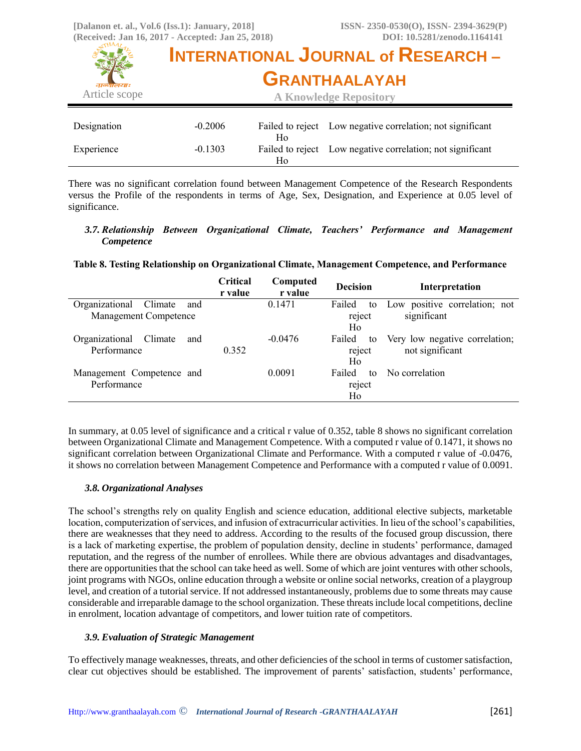

There was no significant correlation found between Management Competence of the Research Respondents versus the Profile of the respondents in terms of Age, Sex, Designation, and Experience at 0.05 level of significance.

### *3.7. Relationship Between Organizational Climate, Teachers' Performance and Management Competence*

## **Table 8. Testing Relationship on Organizational Climate, Management Competence, and Performance**

|                                  | Critical<br>r value | Computed<br>r value | <b>Decision</b> | Interpretation                 |
|----------------------------------|---------------------|---------------------|-----------------|--------------------------------|
| Organizational<br>Climate<br>and |                     | 0.1471              | Failed<br>to    | Low positive correlation; not  |
| Management Competence            |                     |                     | reject          | significant                    |
|                                  |                     |                     | Ho              |                                |
| Organizational<br>Climate<br>and |                     | $-0.0476$           | Failed<br>to    | Very low negative correlation; |
| Performance                      | 0.352               |                     | reject          | not significant                |
|                                  |                     |                     | Ho              |                                |
| Management Competence and        |                     | 0.0091              | Failed<br>to    | No correlation                 |
| Performance                      |                     |                     | reject          |                                |
|                                  |                     |                     | Ho              |                                |

In summary, at 0.05 level of significance and a critical r value of 0.352, table 8 shows no significant correlation between Organizational Climate and Management Competence. With a computed r value of 0.1471, it shows no significant correlation between Organizational Climate and Performance. With a computed r value of -0.0476, it shows no correlation between Management Competence and Performance with a computed r value of 0.0091.

## *3.8. Organizational Analyses*

The school's strengths rely on quality English and science education, additional elective subjects, marketable location, computerization of services, and infusion of extracurricular activities. In lieu of the school's capabilities, there are weaknesses that they need to address. According to the results of the focused group discussion, there is a lack of marketing expertise, the problem of population density, decline in students' performance, damaged reputation, and the regress of the number of enrollees. While there are obvious advantages and disadvantages, there are opportunities that the school can take heed as well. Some of which are joint ventures with other schools, joint programs with NGOs, online education through a website or online social networks, creation of a playgroup level, and creation of a tutorial service. If not addressed instantaneously, problems due to some threats may cause considerable and irreparable damage to the school organization. These threats include local competitions, decline in enrolment, location advantage of competitors, and lower tuition rate of competitors.

### *3.9. Evaluation of Strategic Management*

To effectively manage weaknesses, threats, and other deficiencies of the school in terms of customer satisfaction, clear cut objectives should be established. The improvement of parents' satisfaction, students' performance,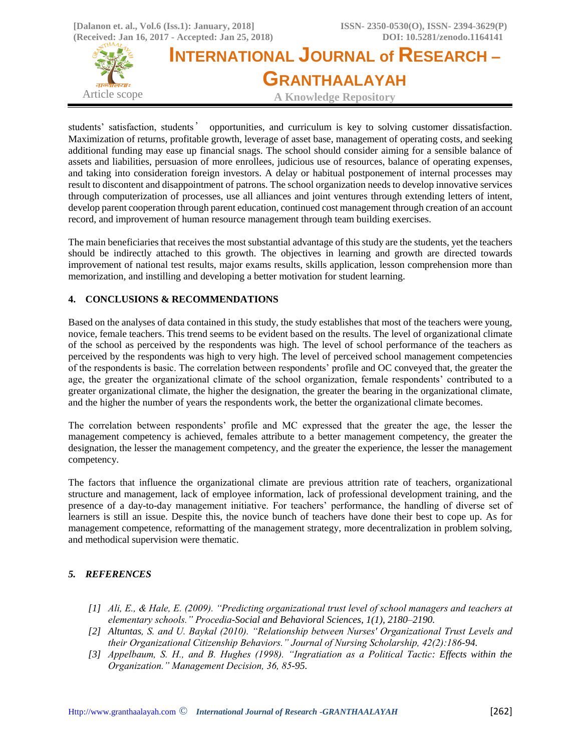

students' satisfaction, students' opportunities, and curriculum is key to solving customer dissatisfaction. Maximization of returns, profitable growth, leverage of asset base, management of operating costs, and seeking additional funding may ease up financial snags. The school should consider aiming for a sensible balance of assets and liabilities, persuasion of more enrollees, judicious use of resources, balance of operating expenses, and taking into consideration foreign investors. A delay or habitual postponement of internal processes may result to discontent and disappointment of patrons. The school organization needs to develop innovative services through computerization of processes, use all alliances and joint ventures through extending letters of intent, develop parent cooperation through parent education, continued cost management through creation of an account record, and improvement of human resource management through team building exercises.

The main beneficiaries that receives the most substantial advantage of this study are the students, yet the teachers should be indirectly attached to this growth. The objectives in learning and growth are directed towards improvement of national test results, major exams results, skills application, lesson comprehension more than memorization, and instilling and developing a better motivation for student learning.

## **4. CONCLUSIONS & RECOMMENDATIONS**

Based on the analyses of data contained in this study, the study establishes that most of the teachers were young, novice, female teachers. This trend seems to be evident based on the results. The level of organizational climate of the school as perceived by the respondents was high. The level of school performance of the teachers as perceived by the respondents was high to very high. The level of perceived school management competencies of the respondents is basic. The correlation between respondents' profile and OC conveyed that, the greater the age, the greater the organizational climate of the school organization, female respondents' contributed to a greater organizational climate, the higher the designation, the greater the bearing in the organizational climate, and the higher the number of years the respondents work, the better the organizational climate becomes.

The correlation between respondents' profile and MC expressed that the greater the age, the lesser the management competency is achieved, females attribute to a better management competency, the greater the designation, the lesser the management competency, and the greater the experience, the lesser the management competency.

The factors that influence the organizational climate are previous attrition rate of teachers, organizational structure and management, lack of employee information, lack of professional development training, and the presence of a day-to-day management initiative. For teachers' performance, the handling of diverse set of learners is still an issue. Despite this, the novice bunch of teachers have done their best to cope up. As for management competence, reformatting of the management strategy, more decentralization in problem solving, and methodical supervision were thematic.

# *5. REFERENCES*

- *[1] Ali, E., & Hale, E. (2009). "Predicting organizational trust level of school managers and teachers at elementary schools." Procedia-Social and Behavioral Sciences, 1(1), 2180–2190.*
- *[2] Altuntas, S. and U. Baykal (2010). "Relationship between Nurses' Organizational Trust Levels and their Organizational Citizenship Behaviors." Journal of Nursing Scholarship, 42(2):186-94.*
- *[3] Appelbaum, S. H., and B. Hughes (1998). "Ingratiation as a Political Tactic: Effects within the Organization." Management Decision, 36, 85-95.*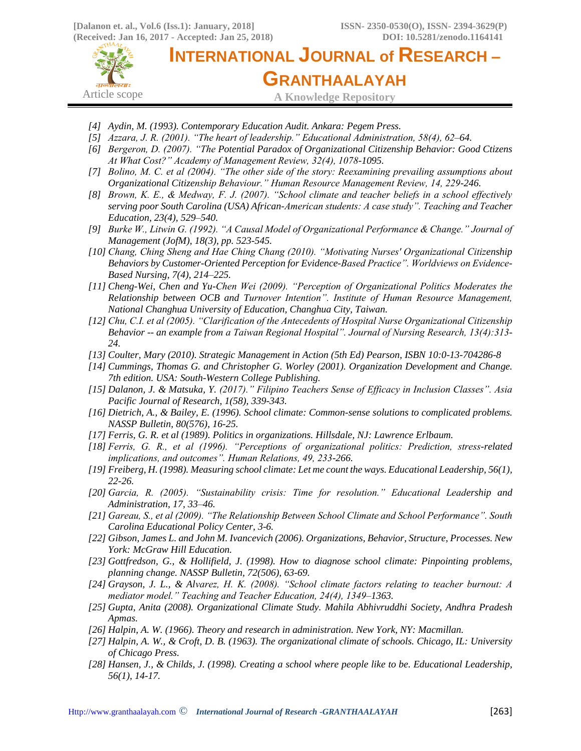

- *[4] Aydin, M. (1993). Contemporary Education Audit. Ankara: Pegem Press.*
- *[5] Azzara, J. R. (2001). "The heart of leadership." Educational Administration, 58(4), 62–64.*
- *[6] Bergeron, D. (2007). "The Potential Paradox of Organizational Citizenship Behavior: Good Ctizens At What Cost?" Academy of Management Review, 32(4), 1078-1095.*
- *[7] Bolino, M. C. et al (2004). "The other side of the story: Reexamining prevailing assumptions about Organizational Citizenship Behaviour." Human Resource Management Review, 14, 229-246.*
- *[8] Brown, K. E., & Medway, F. J. (2007). "School climate and teacher beliefs in a school effectively serving poor South Carolina (USA) African-American students: A case study". Teaching and Teacher Education, 23(4), 529–540.*
- *[9] Burke W., Litwin G. (1992). "A Causal Model of Organizational Performance & Change." Journal of Management (JofM), 18(3), pp. 523-545.*
- *[10] Chang, Ching Sheng and Hae Ching Chang (2010). "Motivating Nurses' Organizational Citizenship Behaviors by Customer-Oriented Perception for Evidence-Based Practice". Worldviews on Evidence-Based Nursing, 7(4), 214–225.*
- *[11] Cheng-Wei, Chen and Yu-Chen Wei (2009). "Perception of Organizational Politics Moderates the Relationship between OCB and Turnover Intention". Institute of Human Resource Management, National Changhua University of Education, Changhua City, Taiwan.*
- *[12] Chu, C.I. et al (2005). "Clarification of the Antecedents of Hospital Nurse Organizational Citizenship Behavior -- an example from a Taiwan Regional Hospital". Journal of Nursing Research, 13(4):313- 24.*
- *[13] Coulter, Mary (2010). Strategic Management in Action (5th Ed) Pearson, ISBN 10:0-13-704286-8*
- *[14] Cummings, Thomas G. and Christopher G. Worley (2001). Organization Development and Change. 7th edition. USA: South-Western College Publishing.*
- *[15] Dalanon, J. & Matsuka, Y. (2017)." Filipino Teachers Sense of Efficacy in Inclusion Classes". Asia Pacific Journal of Research, 1(58), 339-343.*
- *[16] Dietrich, A., & Bailey, E. (1996). School climate: Common-sense solutions to complicated problems. NASSP Bulletin, 80(576), 16-25.*
- *[17] Ferris, G. R. et al (1989). Politics in organizations. Hillsdale, NJ: Lawrence Erlbaum.*
- *[18] Ferris, G. R., et al (1996). "Perceptions of organizational politics: Prediction, stress-related implications, and outcomes". Human Relations, 49, 233-266.*
- *[19] Freiberg, H. (1998). Measuring school climate: Let me count the ways. Educational Leadership, 56(1), 22-26.*
- *[20] Garcia, R. (2005). "Sustainability crisis: Time for resolution." Educational Leadership and Administration, 17, 33–46.*
- *[21] Gareau, S., et al (2009). "The Relationship Between School Climate and School Performance". South Carolina Educational Policy Center, 3-6.*
- *[22] Gibson, James L. and John M. Ivancevich (2006). Organizations, Behavior, Structure, Processes. New York: McGraw Hill Education.*
- *[23] Gottfredson, G., & Hollifield, J. (1998). How to diagnose school climate: Pinpointing problems, planning change. NASSP Bulletin, 72(506), 63-69.*
- *[24] Grayson, J. L., & Alvarez, H. K. (2008). "School climate factors relating to teacher burnout: A mediator model." Teaching and Teacher Education, 24(4), 1349–1363.*
- *[25] Gupta, Anita (2008). Organizational Climate Study. Mahila Abhivruddhi Society, Andhra Pradesh Apmas.*
- *[26] Halpin, A. W. (1966). Theory and research in administration. New York, NY: Macmillan.*
- *[27] Halpin, A. W., & Croft, D. B. (1963). The organizational climate of schools. Chicago, IL: University of Chicago Press.*
- *[28] Hansen, J., & Childs, J. (1998). Creating a school where people like to be. Educational Leadership, 56(1), 14-17.*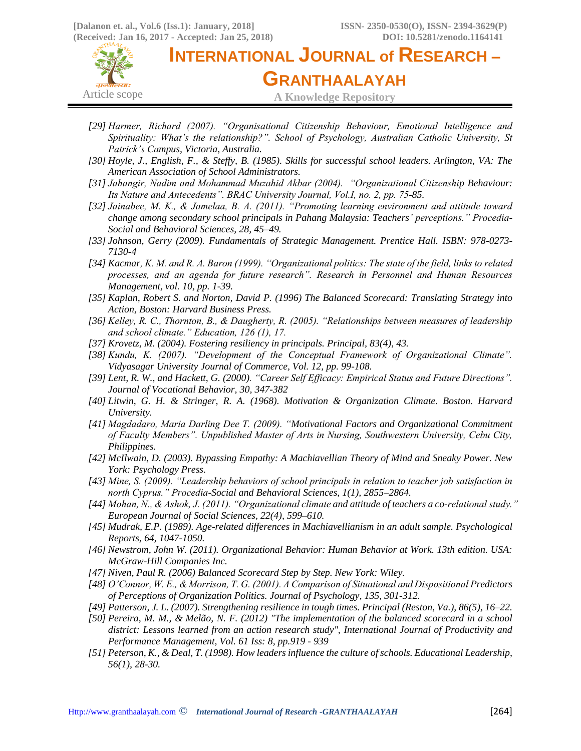

**INTERNATIONAL JOURNAL of RESEARCH – GRANTHAALAYAH A Knowledge Repository**

- *[29] Harmer, Richard (2007). "Organisational Citizenship Behaviour, Emotional Intelligence and Spirituality: What's the relationship?". School of Psychology, Australian Catholic University, St Patrick's Campus, Victoria, Australia.*
- *[30] Hoyle, J., English, F., & Steffy, B. (1985). Skills for successful school leaders. Arlington, VA: The American Association of School Administrators.*
- *[31] Jahangir, Nadim and Mohammad Muzahid Akbar (2004). "Organizational Citizenship Behaviour: Its Nature and Antecedents". BRAC University Journal, Vol.I, no. 2, pp. 75-85.*
- *[32] Jainabee, M. K., & Jamelaa, B. A. (2011). "Promoting learning environment and attitude toward change among secondary school principals in Pahang Malaysia: Teachers' perceptions." Procedia-Social and Behavioral Sciences, 28, 45–49.*
- *[33] Johnson, Gerry (2009). Fundamentals of Strategic Management. Prentice Hall. ISBN: 978-0273- 7130-4*
- *[34] Kacmar, K. M. and R. A. Baron (1999). "Organizational politics: The state of the field, links to related processes, and an agenda for future research". Research in Personnel and Human Resources Management, vol. 10, pp. 1-39.*
- *[35] Kaplan, Robert S. and Norton, David P. (1996) The Balanced Scorecard: Translating Strategy into Action, Boston: Harvard Business Press.*
- *[36] Kelley, R. C., Thornton, B., & Daugherty, R. (2005). "Relationships between measures of leadership and school climate." Education, 126 (1), 17.*
- *[37] Krovetz, M. (2004). Fostering resiliency in principals. Principal, 83(4), 43.*
- *[38] Kundu, K. (2007). "Development of the Conceptual Framework of Organizational Climate". Vidyasagar University Journal of Commerce, Vol. 12, pp. 99-108.*
- *[39] Lent, R. W., and Hackett, G. (2000). "Career Self Efficacy: Empirical Status and Future Directions". Journal of Vocational Behavior, 30, 347-382*
- *[40] Litwin, G. H. & Stringer, R. A. (1968). Motivation & Organization Climate. Boston. Harvard University.*
- *[41] Magdadaro, Maria Darling Dee T. (2009). "Motivational Factors and Organizational Commitment of Faculty Members". Unpublished Master of Arts in Nursing, Southwestern University, Cebu City, Philippines.*
- *[42] McIlwain, D. (2003). Bypassing Empathy: A Machiavellian Theory of Mind and Sneaky Power. New York: Psychology Press.*
- *[43] Mine, S. (2009). "Leadership behaviors of school principals in relation to teacher job satisfaction in north Cyprus." Procedia-Social and Behavioral Sciences, 1(1), 2855–2864.*
- *[44] Mohan, N., & Ashok, J. (2011). "Organizational climate and attitude of teachers a co-relational study." European Journal of Social Sciences, 22(4), 599–610.*
- *[45] Mudrak, E.P. (1989). Age-related differences in Machiavellianism in an adult sample. Psychological Reports, 64, 1047-1050.*
- *[46] Newstrom, John W. (2011). Organizational Behavior: Human Behavior at Work. 13th edition. USA: McGraw-Hill Companies Inc.*
- *[47] Niven, Paul R. (2006) Balanced Scorecard Step by Step. New York: Wiley.*
- *[48] O'Connor, W. E., & Morrison, T. G. (2001). A Comparison of Situational and Dispositional Predictors of Perceptions of Organization Politics. Journal of Psychology, 135, 301-312.*
- *[49] Patterson, J. L. (2007). Strengthening resilience in tough times. Principal (Reston, Va.), 86(5), 16–22.*
- *[50] Pereira, M. M., & Melão, N. F. (2012) "The implementation of the balanced scorecard in a school district: Lessons learned from an action research study", International Journal of Productivity and Performance Management, Vol. 61 Iss: 8, pp.919 - 939*
- *[51] Peterson, K., & Deal, T. (1998). How leaders influence the culture of schools. Educational Leadership, 56(1), 28-30.*